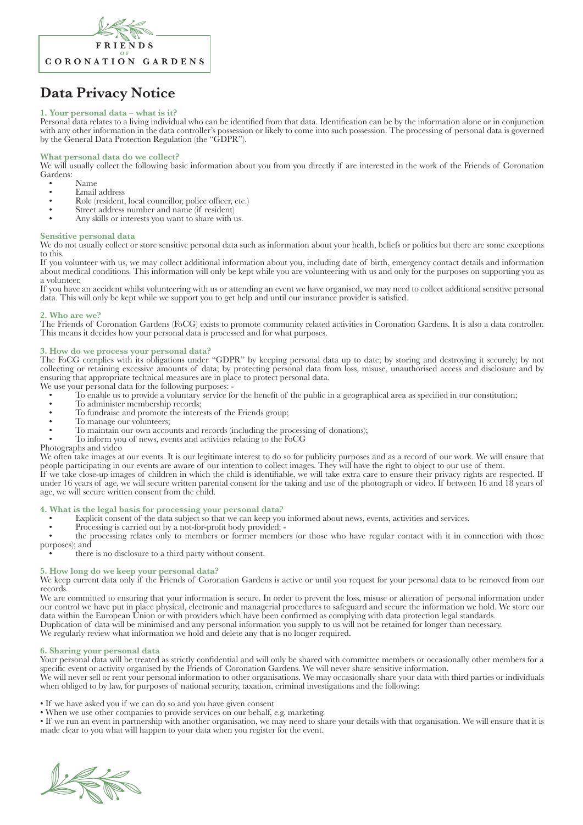

# **Data Privacy Notice**

# **1. Your personal data – what is it?**

Personal data relates to a living individual who can be identified from that data. Identification can be by the information alone or in conjunction with any other information in the data controller's possession or likely to come into such possession. The processing of personal data is governed by the General Data Protection Regulation (the "GDPR").

## **What personal data do we collect?**

We will usually collect the following basic information about you from you directly if are interested in the work of the Friends of Coronation Gardens:

- -
	- Famail address<br>
	 Email address<br>
	Role (resident, local councillor, police officer, etc.)<br>
	 Street address number and name (if resident)<br>
	 Any skills or interests you want to share with us.
- 
- 

#### **Sensitive personal data**

We do not usually collect or store sensitive personal data such as information about your health, beliefs or politics but there are some exceptions to this.

If you volunteer with us, we may collect additional information about you, including date of birth, emergency contact details and information about medical conditions. This information will only be kept while you are volunteering with us and only for the purposes on supporting you as a volunteer.

If you have an accident whilst volunteering with us or attending an event we have organised, we may need to collect additional sensitive personal data. This will only be kept while we support you to get help and until our insurance provider is satisfied.

### **2. Who are we?**

The Friends of Coronation Gardens (FoCG) exists to promote community related activities in Coronation Gardens. It is also a data controller. This means it decides how your personal data is processed and for what purposes.

## **3. How do we process your personal data?**

The FoCG complies with its obligations under "GDPR" by keeping personal data up to date; by storing and destroying it securely; by not collecting or retaining excessive amounts of data; by protecting personal data from loss, misuse, unauthorised access and disclosure and by ensuring that appropriate technical measures are in place to protect personal data.

- We use your personal data for the following purposes: • To enable us to provide a voluntary service for the benefit of the public in a geographical area as specified in our constitution;
	- To administer membership records;
	- To fundraise and promote the interests of the Friends group;
	- To manage our volunteers:
	- To maintain our own accounts and records (including the processing of donations);
	- To inform you of news, events and activities relating to the FoCG

Photographs and video

We often take images at our events. It is our legitimate interest to do so for publicity purposes and as a record of our work. We will ensure that people participating in our events are aware of our intention to collect images. They will have the right to object to our use of them.

If we take close-up images of children in which the child is identifiable, we will take extra care to ensure their privacy rights are respected. If under 16 years of age, we will secure written parental consent for the taking and use of the photograph or video. If between 16 and 18 years of age, we will secure written consent from the child.

## **4. What is the legal basis for processing your personal data?**

- Explicit consent of the data subject so that we can keep you informed about news, events, activities and services.
- Processing is carried out by a not-for-profit body provided: -

• the processing relates only to members or former members (or those who have regular contact with it in connection with those

purposes); and • there is no disclosure to a third party without consent.

# **5. How long do we keep your personal data?**

We keep current data only if the Friends of Coronation Gardens is active or until you request for your personal data to be removed from our records.

We are committed to ensuring that your information is secure. In order to prevent the loss, misuse or alteration of personal information under our control we have put in place physical, electronic and managerial procedures to safeguard and secure the information we hold. We store our data within the European Union or with providers which have been confirmed as complying with data protection legal standards. Duplication of data will be minimised and any personal information you supply to us will not be retained for longer than necessary. We regularly review what information we hold and delete any that is no longer required.

#### **6. Sharing your personal data**

Your personal data will be treated as strictly confidential and will only be shared with committee members or occasionally other members for a specific event or activity organised by the Friends of Coronation Gardens. We will never share sensitive information.

We will never sell or rent your personal information to other organisations. We may occasionally share your data with third parties or individuals when obliged to by law, for purposes of national security, taxation, criminal investigations and the following:

• If we have asked you if we can do so and you have given consent

• When we use other companies to provide services on our behalf, e.g. marketing.

• If we run an event in partnership with another organisation, we may need to share your details with that organisation. We will ensure that it is made clear to you what will happen to your data when you register for the event.